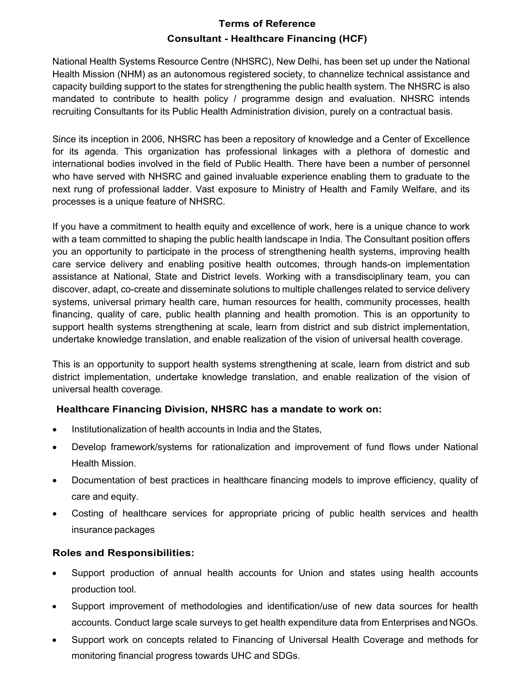# Terms of Reference Consultant - Healthcare Financing (HCF)

National Health Systems Resource Centre (NHSRC), New Delhi, has been set up under the National Health Mission (NHM) as an autonomous registered society, to channelize technical assistance and capacity building support to the states for strengthening the public health system. The NHSRC is also mandated to contribute to health policy / programme design and evaluation. NHSRC intends recruiting Consultants for its Public Health Administration division, purely on a contractual basis.

Since its inception in 2006, NHSRC has been a repository of knowledge and a Center of Excellence for its agenda. This organization has professional linkages with a plethora of domestic and international bodies involved in the field of Public Health. There have been a number of personnel who have served with NHSRC and gained invaluable experience enabling them to graduate to the next rung of professional ladder. Vast exposure to Ministry of Health and Family Welfare, and its processes is a unique feature of NHSRC.

If you have a commitment to health equity and excellence of work, here is a unique chance to work with a team committed to shaping the public health landscape in India. The Consultant position offers you an opportunity to participate in the process of strengthening health systems, improving health care service delivery and enabling positive health outcomes, through hands-on implementation assistance at National, State and District levels. Working with a transdisciplinary team, you can discover, adapt, co-create and disseminate solutions to multiple challenges related to service delivery systems, universal primary health care, human resources for health, community processes, health financing, quality of care, public health planning and health promotion. This is an opportunity to support health systems strengthening at scale, learn from district and sub district implementation, undertake knowledge translation, and enable realization of the vision of universal health coverage.

This is an opportunity to support health systems strengthening at scale, learn from district and sub district implementation, undertake knowledge translation, and enable realization of the vision of universal health coverage.

## Healthcare Financing Division, NHSRC has a mandate to work on:

- Institutionalization of health accounts in India and the States,
- Develop framework/systems for rationalization and improvement of fund flows under National Health Mission.
- Documentation of best practices in healthcare financing models to improve efficiency, quality of care and equity.
- Costing of healthcare services for appropriate pricing of public health services and health insurance packages

## Roles and Responsibilities:

- Support production of annual health accounts for Union and states using health accounts production tool.
- Support improvement of methodologies and identification/use of new data sources for health accounts. Conduct large scale surveys to get health expenditure data from Enterprises and NGOs.
- Support work on concepts related to Financing of Universal Health Coverage and methods for monitoring financial progress towards UHC and SDGs.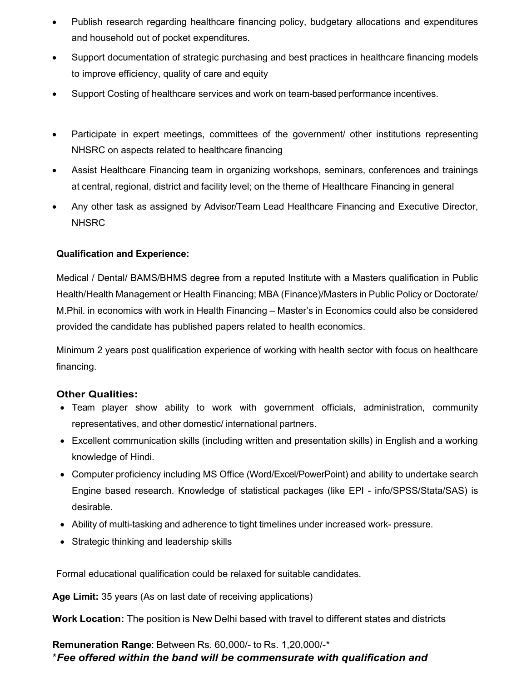- Publish research regarding healthcare financing policy, budgetary allocations and expenditures and household out of pocket expenditures.
- Support documentation of strategic purchasing and best practices in healthcare financing models to improve efficiency, quality of care and equity
- Support Costing of healthcare services and work on team-based performance incentives.
- Participate in expert meetings, committees of the government/ other institutions representing NHSRC on aspects related to healthcare financing
- Assist Healthcare Financing team in organizing workshops, seminars, conferences and trainings at central, regional, district and facility level; on the theme of Healthcare Financing in general
- Any other task as assigned by Advisor/Team Lead Healthcare Financing and Executive Director, **NHSRC**

### Qualification and Experience:

Medical / Dental/ BAMS/BHMS degree from a reputed Institute with a Masters qualification in Public Health/Health Management or Health Financing; MBA (Finance)/Masters in Public Policy or Doctorate/ M.Phil. in economics with work in Health Financing – Master's in Economics could also be considered provided the candidate has published papers related to health economics.

Minimum 2 years post qualification experience of working with health sector with focus on healthcare financing.

#### Other Qualities:

- Team player show ability to work with government officials, administration, community representatives, and other domestic/ international partners.
- Excellent communication skills (including written and presentation skills) in English and a working knowledge of Hindi.
- Computer proficiency including MS Office (Word/Excel/PowerPoint) and ability to undertake search Engine based research. Knowledge of statistical packages (like EPI - info/SPSS/Stata/SAS) is desirable.
- Ability of multi-tasking and adherence to tight timelines under increased work- pressure.
- Strategic thinking and leadership skills

Formal educational qualification could be relaxed for suitable candidates.

Age Limit: 35 years (As on last date of receiving applications)

Work Location: The position is New Delhi based with travel to different states and districts

Remuneration Range: Between Rs. 60,000/- to Rs. 1,20,000/-\* \*Fee offered within the band will be commensurate with qualification and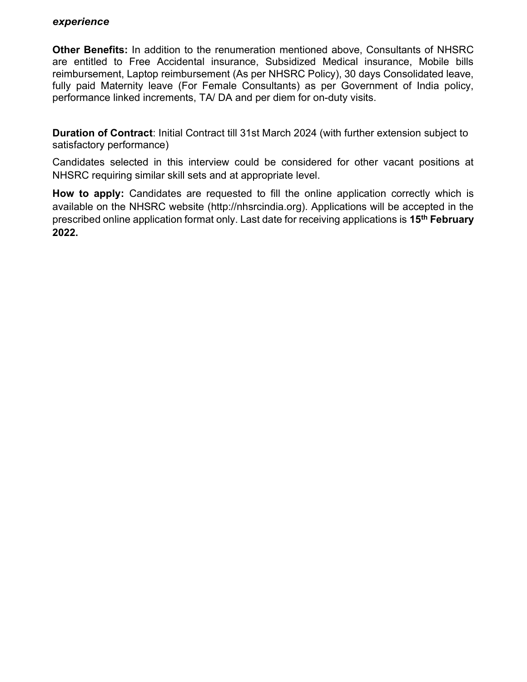#### experience

Other Benefits: In addition to the renumeration mentioned above, Consultants of NHSRC are entitled to Free Accidental insurance, Subsidized Medical insurance, Mobile bills reimbursement, Laptop reimbursement (As per NHSRC Policy), 30 days Consolidated leave, fully paid Maternity leave (For Female Consultants) as per Government of India policy, performance linked increments, TA/ DA and per diem for on-duty visits.

Duration of Contract: Initial Contract till 31st March 2024 (with further extension subject to satisfactory performance)

Candidates selected in this interview could be considered for other vacant positions at NHSRC requiring similar skill sets and at appropriate level.

How to apply: Candidates are requested to fill the online application correctly which is available on the NHSRC website (http://nhsrcindia.org). Applications will be accepted in the prescribed online application format only. Last date for receiving applications is 15<sup>th</sup> February 2022.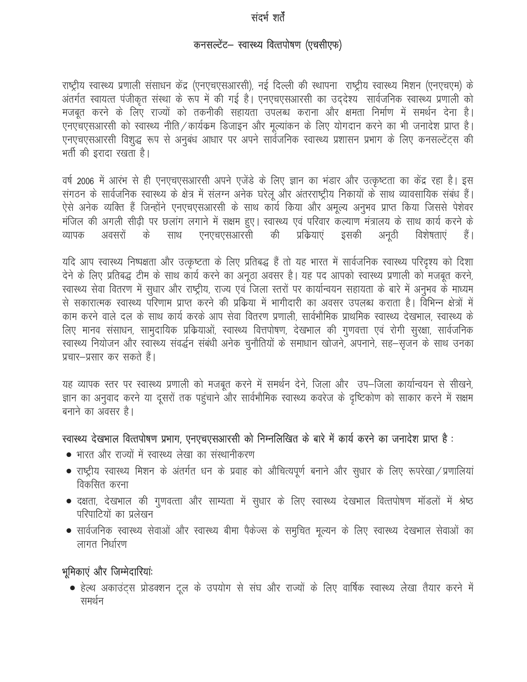## संदर्भ शर्तें

# कनसल्टेंट- स्वास्थ्य वित्तपोषण (एचसीएफ)

राष्ट्रीय स्वास्थ्य प्रणाली संसाधन केंद्र (एनएचएसआरसी), नई दिल्ली की स्थापना राष्ट्रीय स्वास्थ्य मिशन (एनएचएम) के अंतर्गत स्वायत्त पंजीकृत संस्था के रूप में की गई है। एनएचएसआरसी का उद्देश्य सार्वजनिक स्वास्थ्य प्रणाली को मजबुत करने के लिए राज्यों को तकनीकी सहायता उपलब्ध कराना और क्षमता निर्माण में समर्थन देना है। एनएचएसआरसी को स्वास्थ्य नीति / कार्यक्रम डिजाइन और मूल्यांकन के लिए योगदान करने का भी जनादेश प्राप्त है। एनएचएसआरसी विशुद्ध रूप से अनुबंध आधार पर अपने सार्वेजनिक स्वास्थ्य प्रशासन प्रभाग के लिए कनसल्टेंट्स की भर्ती की इरादा रखता है।

वर्ष 2006 में आरंभ से ही एनएचएसआरसी अपने एजेंडे के लिए ज्ञान का भंडार और उत्कृष्टता का केंद्र रहा है। इस संगठन के सार्वजनिक स्वास्थ्य के क्षेत्र में संलग्न अनेक घरेलू और अंतरराष्ट्रीय निकायों के साथ व्यावसायिक संबंध हैं। ऐसे अनेक व्यक्ति हैं जिन्होंने एनएचएसआरसी के साथ कार्य किया और अमूल्य अनुभव प्राप्त किया जिससे पेशेवर मंजिल की अगली सीढ़ी पर छलांग लगाने में सक्षम हुए। स्वास्थ्य एवं परिवार कल्याण मंत्रालय के साथ कार्य करने के एनएचएसआरसी अवसरों के की प्रक्रियाएं इसकी विशेषताएं व्यापक साथ अनूठी हैं |

यदि आप स्वास्थ्य निष्पक्षता और उत्कृष्टता के लिए प्रतिबद्ध हैं तो यह भारत में सार्वजनिक स्वास्थ्य परिदृश्य को दिशा देने के लिए प्रतिबद्ध टीम के साथ कार्य करने का अनूठा अवसर है। यह पद आपको स्वास्थ्य प्रणाली को मजबूत करने, स्वास्थ्य सेवा वितरण में सुधार और राष्ट्रीय, राज्य एवं जिला स्तरों पर कार्यान्वयन सहायता के बारे में अनुभव के माध्यम से सकारात्मक स्वास्थ्य परिणाम प्राप्त करने की प्रक्रिया में भागीदारी का अवसर उपलब्ध कराता है। विभिन्न क्षेत्रों में काम करने वाले दल के साथ कार्य करके आप सेवा वितरण प्रणाली, सार्वभौमिक प्राथमिक स्वास्थ्य देखभाल, स्वास्थ्य के लिए मानव संसाधन, सामुदायिक प्रक्रियाओं, स्वास्थ्य वित्तपोषण, देखभाल की गुणवत्ता एवं रोगी सुरक्षा, सार्वजनिक स्वास्थ्य नियोजन और स्वास्थ्य संवर्द्धन संबंधी अनेक चुनौतियों के समाधान खोजने, अपनाने, सह-सृजन के साथ उनका प्रचार–प्रसार कर सकते हैं।

यह व्यापक स्तर पर स्वास्थ्य प्रणाली को मजबूत करने में समर्थन देने, जिला और उप–जिला कार्यान्वयन से सीखने, ज्ञान का अनुवाद करने या दूसरों तक पहुंचाने और सार्वभौमिक स्वास्थ्य कवरेज के दुष्टिकोण को साकार करने में सक्षम बनाने का अवसर है।

### स्वास्थ्य देखभाल वित्तपोषण प्रभाग, एनएचएसआरसी को निम्नलिखित के बारे में कार्य करने का जनादेश प्राप्त है:

- भारत और राज्यों में स्वास्थ्य लेखा का संस्थानीकरण
- राष्ट्रीय स्वास्थ्य मिशन के अंतर्गत धन के प्रवाह को औचित्यपूर्ण बनाने और सुधार के लिए रूपरेखा / प्रणालियां विकसित करना
- दक्षता, देखभाल की गुणवत्ता और साम्यता में सुधार के लिए स्वास्थ्य देखभाल वित्तपोषण मॉडलों में श्रेष्ठ परिपाटियों का प्रलेखन
- सार्वजनिक स्वास्थ्य सेवाओं और स्वास्थ्य बीमा पैकेज्स के समुचित मूल्यन के लिए स्वास्थ्य देखभाल सेवाओं का लागत निर्धारण

## भूमिकाएं और जिम्मेदारियांः

• हेल्थ अकाउंट्स प्रोडक्शन टूल के उपयोग से संघ और राज्यों के लिए वार्षिक स्वास्थ्य लेखा तैयार करने में समर्थन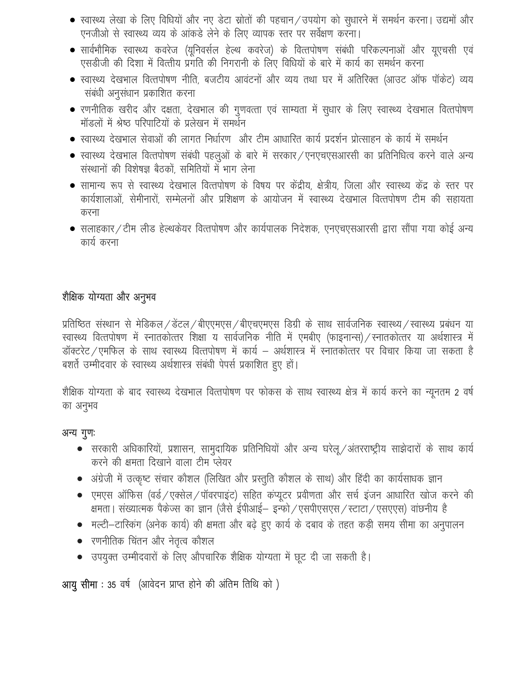- स्वास्थ्य लेखा के लिए विधियों और नए डेटा स्रोतों की पहचान/उपयोग को सुधारने में समर्थन करना। उद्यमों और एनजीओ से स्वास्थ्य व्यय के आंकड़े लेने के लिए व्यापक स्तर पर सर्वेक्षण करना।
- सार्वभौमिक स्वास्थ्य कवरेज (यूनिवर्सल हेल्थ कवरेज) के वित्तपोषण संबंधी परिकल्पनाओं और यूएचसी एवं एसड़ीजी की दिशा में वित्तीय प्रगति की निगरानी के लिए विधियों के बारे में कार्य का समर्थन करना
- स्वास्थ्य देखभाल वित्तपोषण नीति, बजटीय आवंटनों और व्यय तथा घर में अतिरिक्त (आउट ऑफ पॉकेट) व्यय संबंधी अनुसंधान प्रकाशित करना
- रणनीतिक खरीद और दक्षता, देखभाल की गुणवत्ता एवं साम्यता में सुधार के लिए स्वास्थ्य देखभाल वित्तपोषण मॉडलों में श्रेष्ठ परिपाटियों के प्रलेखन में समर्थन
- स्वास्थ्य देखभाल सेवाओं की लागत निर्धारण और टीम आधारित कार्य प्रदर्शन प्रोत्साहन के कार्य में समर्थन
- स्वास्थ्य देखभाल वित्तपोषण संबंधी पहलुओं के बारे में सरकार / एनएचएसआरसी का प्रतिनिधित्व करने वाले अन्य संस्थानों की विशेषज्ञ बैठकों, समितियों में भाग लेना
- सामान्य रूप से स्वास्थ्य देखभाल वित्तपोषण के विषय पर केंद्रीय, क्षेत्रीय, जिला और स्वास्थ्य केंद्र के स्तर पर कार्यशालाओं, सेमीनारों, सम्मेलनों और प्रशिक्षण के आयोजन में स्वास्थ्य देखभाल वित्तपोषण टीम की सहायता करना
- सलाहकार/टीम लीड हेल्थकेयर वित्तपोषण और कार्यपालक निदेशक, एनएचएसआरसी द्वारा सौंपा गया कोई अन्य कार्य करना

# शैक्षिक योग्यता और अनुभव

प्रतिष्ठित संस्थान से मेडिकल/डेंटल/बीएएमएस/बीएचएमएस डिग्री के साथ सार्वजनिक स्वास्थ्य/स्वास्थ्य प्रबंधन या स्वास्थ्य वित्तपोषण में स्नातकोत्तर शिक्षा य सार्वजनिक नीति में एमबीए (फाइनान्स) / स्नातकोत्तर या अर्थशास्त्र में डॉक्टरेट / एमफिल के साथ स्वास्थ्य वित्तपोषण में कार्य – अर्थशास्त्र में स्नातकोत्तर पर विचार किया जा सकता है बशर्ते उम्मीदवार के स्वास्थ्य अर्थशास्त्र संबंधी पेपर्स प्रकाशित हुए हों।

शैक्षिक योग्यता के बाद स्वास्थ्य देखभाल वित्तपोषण पर फोकस के साथ स्वास्थ्य क्षेत्र में कार्य करने का न्यूनतम 2 वर्ष का अनुभव

# अन्य गुणः

- सरकारी अधिकारियों, प्रशासन, सामुदायिक प्रतिनिधियों और अन्य घरेलू / अंतरराष्ट्रीय साझेदारों के साथ कार्य करने की क्षमता दिखाने वाला टीम प्लेयर
- अंग्रेजी में उत्कृष्ट संचार कौशल (लिखित और प्रस्तुति कौशल के साथ) और हिंदी का कार्यसाधक ज्ञान
- एमएस ऑफिस (वर्ड / एक्सेल / पॉवरपाइंट) सहित कंप्यूटर प्रवीणता और सर्च इंजन आधारित खोज करने की क्षमता । संख्यात्मक पैकेज्स का ज्ञान (जैसे ईपीआई– इन्फो / एसपीएसएस / स्टाटा / एसएएस) वांछनीय है
- मल्टी-टास्किंग (अनेक कार्य) की क्षमता और बढ़े हुए कार्य के दबाव के तहत कड़ी समय सीमा का अनुपालन
- रणनीतिक चिंतन और नेतृत्व कौशल
- उपयुक्त उम्मीदवारों के लिए औपचारिक शैक्षिक योग्यता में छूट दी जा सकती है।

आयु सीमा: 35 वर्ष (आवेदन प्राप्त होने की अंतिम तिथि को)